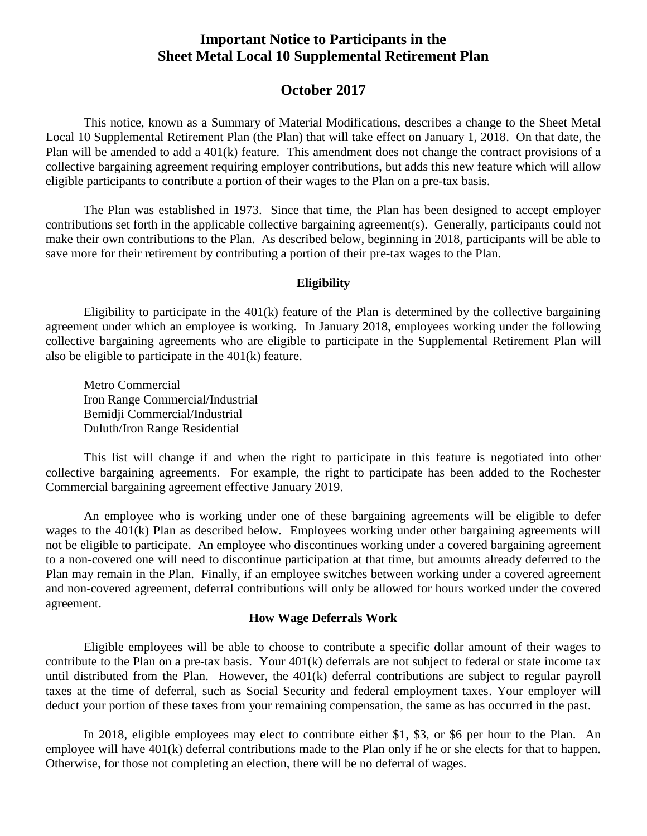# **Important Notice to Participants in the Sheet Metal Local 10 Supplemental Retirement Plan**

# **October 2017**

This notice, known as a Summary of Material Modifications, describes a change to the Sheet Metal Local 10 Supplemental Retirement Plan (the Plan) that will take effect on January 1, 2018. On that date, the Plan will be amended to add a 401(k) feature. This amendment does not change the contract provisions of a collective bargaining agreement requiring employer contributions, but adds this new feature which will allow eligible participants to contribute a portion of their wages to the Plan on a pre-tax basis.

The Plan was established in 1973. Since that time, the Plan has been designed to accept employer contributions set forth in the applicable collective bargaining agreement(s). Generally, participants could not make their own contributions to the Plan. As described below, beginning in 2018, participants will be able to save more for their retirement by contributing a portion of their pre-tax wages to the Plan.

#### **Eligibility**

Eligibility to participate in the  $401(k)$  feature of the Plan is determined by the collective bargaining agreement under which an employee is working. In January 2018, employees working under the following collective bargaining agreements who are eligible to participate in the Supplemental Retirement Plan will also be eligible to participate in the 401(k) feature.

Metro Commercial Iron Range Commercial/Industrial Bemidji Commercial/Industrial Duluth/Iron Range Residential

This list will change if and when the right to participate in this feature is negotiated into other collective bargaining agreements. For example, the right to participate has been added to the Rochester Commercial bargaining agreement effective January 2019.

An employee who is working under one of these bargaining agreements will be eligible to defer wages to the 401(k) Plan as described below. Employees working under other bargaining agreements will not be eligible to participate. An employee who discontinues working under a covered bargaining agreement to a non-covered one will need to discontinue participation at that time, but amounts already deferred to the Plan may remain in the Plan. Finally, if an employee switches between working under a covered agreement and non-covered agreement, deferral contributions will only be allowed for hours worked under the covered agreement.

### **How Wage Deferrals Work**

Eligible employees will be able to choose to contribute a specific dollar amount of their wages to contribute to the Plan on a pre-tax basis. Your 401(k) deferrals are not subject to federal or state income tax until distributed from the Plan. However, the 401(k) deferral contributions are subject to regular payroll taxes at the time of deferral, such as Social Security and federal employment taxes. Your employer will deduct your portion of these taxes from your remaining compensation, the same as has occurred in the past.

In 2018, eligible employees may elect to contribute either \$1, \$3, or \$6 per hour to the Plan. An employee will have 401(k) deferral contributions made to the Plan only if he or she elects for that to happen. Otherwise, for those not completing an election, there will be no deferral of wages.